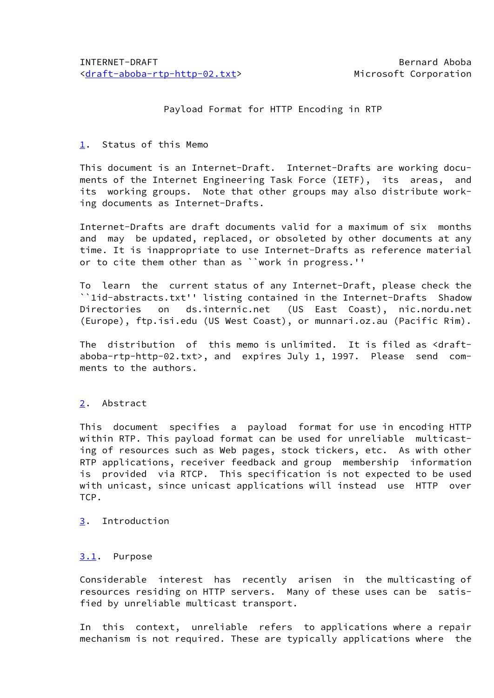# Payload Format for HTTP Encoding in RTP

#### <span id="page-0-0"></span>[1.](#page-0-0) Status of this Memo

 This document is an Internet-Draft. Internet-Drafts are working docu ments of the Internet Engineering Task Force (IETF), its areas, and its working groups. Note that other groups may also distribute work ing documents as Internet-Drafts.

 Internet-Drafts are draft documents valid for a maximum of six months and may be updated, replaced, or obsoleted by other documents at any time. It is inappropriate to use Internet-Drafts as reference material or to cite them other than as ``work in progress.''

 To learn the current status of any Internet-Draft, please check the ``1id-abstracts.txt'' listing contained in the Internet-Drafts Shadow Directories on ds.internic.net (US East Coast), nic.nordu.net (Europe), ftp.isi.edu (US West Coast), or munnari.oz.au (Pacific Rim).

The distribution of this memo is unlimited. It is filed as <draft aboba-rtp-http-02.txt>, and expires July 1, 1997. Please send com ments to the authors.

## <span id="page-0-1"></span>[2.](#page-0-1) Abstract

 This document specifies a payload format for use in encoding HTTP within RTP. This payload format can be used for unreliable multicast ing of resources such as Web pages, stock tickers, etc. As with other RTP applications, receiver feedback and group membership information is provided via RTCP. This specification is not expected to be used with unicast, since unicast applications will instead use HTTP over TCP.

<span id="page-0-2"></span>[3.](#page-0-2) Introduction

## <span id="page-0-3"></span>[3.1](#page-0-3). Purpose

 Considerable interest has recently arisen in the multicasting of resources residing on HTTP servers. Many of these uses can be satis fied by unreliable multicast transport.

 In this context, unreliable refers to applications where a repair mechanism is not required. These are typically applications where the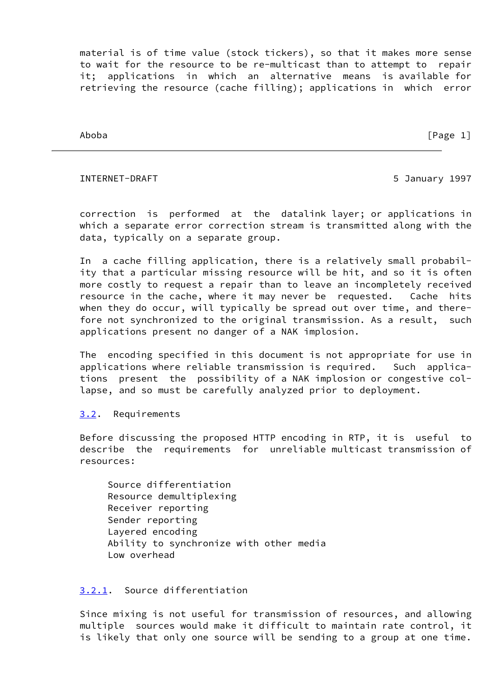material is of time value (stock tickers), so that it makes more sense to wait for the resource to be re-multicast than to attempt to repair it; applications in which an alternative means is available for retrieving the resource (cache filling); applications in which error

Aboba [Page 1]

#### INTERNET-DRAFT 5 January 1997

 correction is performed at the datalink layer; or applications in which a separate error correction stream is transmitted along with the data, typically on a separate group.

 In a cache filling application, there is a relatively small probabil ity that a particular missing resource will be hit, and so it is often more costly to request a repair than to leave an incompletely received resource in the cache, where it may never be requested. Cache hits when they do occur, will typically be spread out over time, and there fore not synchronized to the original transmission. As a result, such applications present no danger of a NAK implosion.

 The encoding specified in this document is not appropriate for use in applications where reliable transmission is required. Such applica tions present the possibility of a NAK implosion or congestive col lapse, and so must be carefully analyzed prior to deployment.

## <span id="page-1-0"></span>[3.2](#page-1-0). Requirements

 Before discussing the proposed HTTP encoding in RTP, it is useful to describe the requirements for unreliable multicast transmission of resources:

 Source differentiation Resource demultiplexing Receiver reporting Sender reporting Layered encoding Ability to synchronize with other media Low overhead

# <span id="page-1-1"></span>[3.2.1.](#page-1-1) Source differentiation

 Since mixing is not useful for transmission of resources, and allowing multiple sources would make it difficult to maintain rate control, it is likely that only one source will be sending to a group at one time.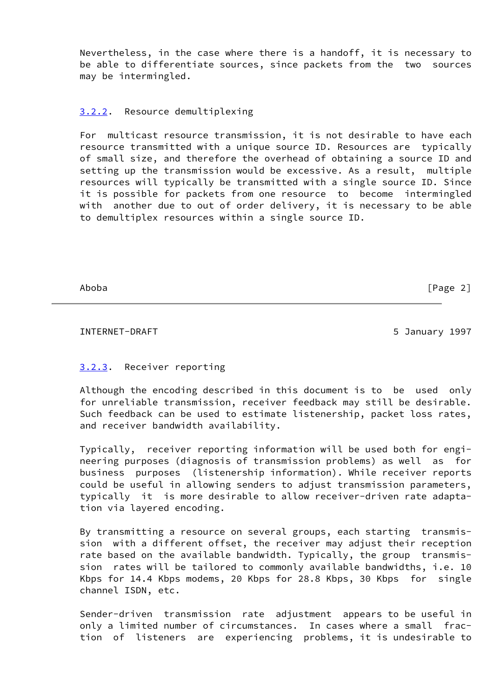Nevertheless, in the case where there is a handoff, it is necessary to be able to differentiate sources, since packets from the two sources may be intermingled.

#### <span id="page-2-0"></span>[3.2.2.](#page-2-0) Resource demultiplexing

 For multicast resource transmission, it is not desirable to have each resource transmitted with a unique source ID. Resources are typically of small size, and therefore the overhead of obtaining a source ID and setting up the transmission would be excessive. As a result, multiple resources will typically be transmitted with a single source ID. Since it is possible for packets from one resource to become intermingled with another due to out of order delivery, it is necessary to be able to demultiplex resources within a single source ID.

Aboba [Page 2]

#### INTERNET-DRAFT 6 1997 1997

## <span id="page-2-1"></span>[3.2.3.](#page-2-1) Receiver reporting

 Although the encoding described in this document is to be used only for unreliable transmission, receiver feedback may still be desirable. Such feedback can be used to estimate listenership, packet loss rates, and receiver bandwidth availability.

 Typically, receiver reporting information will be used both for engi neering purposes (diagnosis of transmission problems) as well as for business purposes (listenership information). While receiver reports could be useful in allowing senders to adjust transmission parameters, typically it is more desirable to allow receiver-driven rate adapta tion via layered encoding.

 By transmitting a resource on several groups, each starting transmis sion with a different offset, the receiver may adjust their reception rate based on the available bandwidth. Typically, the group transmis sion rates will be tailored to commonly available bandwidths, i.e. 10 Kbps for 14.4 Kbps modems, 20 Kbps for 28.8 Kbps, 30 Kbps for single channel ISDN, etc.

 Sender-driven transmission rate adjustment appears to be useful in only a limited number of circumstances. In cases where a small frac tion of listeners are experiencing problems, it is undesirable to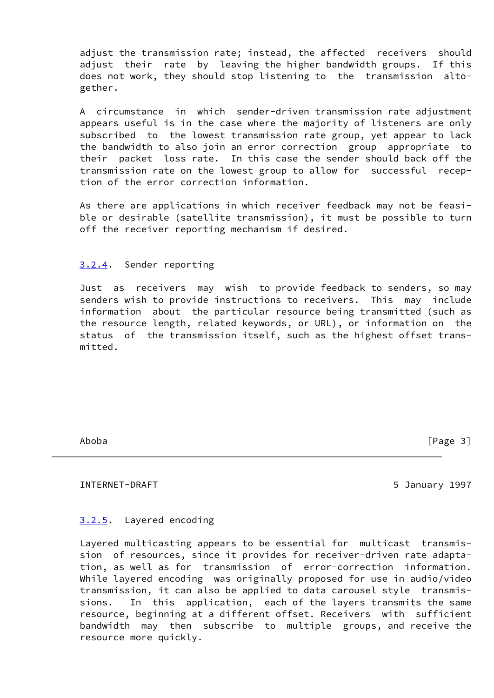adjust the transmission rate; instead, the affected receivers should adjust their rate by leaving the higher bandwidth groups. If this does not work, they should stop listening to the transmission alto gether.

 A circumstance in which sender-driven transmission rate adjustment appears useful is in the case where the majority of listeners are only subscribed to the lowest transmission rate group, yet appear to lack the bandwidth to also join an error correction group appropriate to their packet loss rate. In this case the sender should back off the transmission rate on the lowest group to allow for successful recep tion of the error correction information.

 As there are applications in which receiver feedback may not be feasi ble or desirable (satellite transmission), it must be possible to turn off the receiver reporting mechanism if desired.

#### <span id="page-3-0"></span>[3.2.4.](#page-3-0) Sender reporting

 Just as receivers may wish to provide feedback to senders, so may senders wish to provide instructions to receivers. This may include information about the particular resource being transmitted (such as the resource length, related keywords, or URL), or information on the status of the transmission itself, such as the highest offset trans mitted.

Aboba [Page 3]

INTERNET-DRAFT 5 January 1997

## <span id="page-3-1"></span>[3.2.5.](#page-3-1) Layered encoding

 Layered multicasting appears to be essential for multicast transmis sion of resources, since it provides for receiver-driven rate adapta tion, as well as for transmission of error-correction information. While layered encoding was originally proposed for use in audio/video transmission, it can also be applied to data carousel style transmis sions. In this application, each of the layers transmits the same resource, beginning at a different offset. Receivers with sufficient bandwidth may then subscribe to multiple groups, and receive the resource more quickly.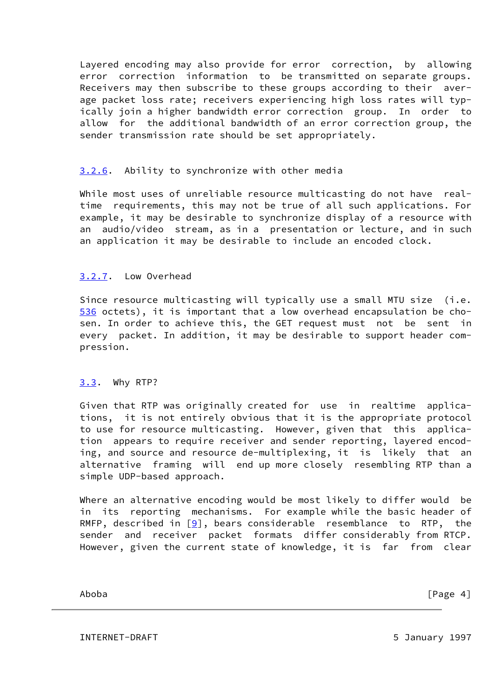Layered encoding may also provide for error correction, by allowing error correction information to be transmitted on separate groups. Receivers may then subscribe to these groups according to their aver age packet loss rate; receivers experiencing high loss rates will typ ically join a higher bandwidth error correction group. In order to allow for the additional bandwidth of an error correction group, the sender transmission rate should be set appropriately.

## <span id="page-4-0"></span>[3.2.6.](#page-4-0) Ability to synchronize with other media

While most uses of unreliable resource multicasting do not have real time requirements, this may not be true of all such applications. For example, it may be desirable to synchronize display of a resource with an audio/video stream, as in a presentation or lecture, and in such an application it may be desirable to include an encoded clock.

# <span id="page-4-1"></span>[3.2.7.](#page-4-1) Low Overhead

<span id="page-4-2"></span>Since resource multicasting will typically use a small MTU size (i.e. [536](#page-4-2) octets), it is important that a low overhead encapsulation be cho sen. In order to achieve this, the GET request must not be sent in every packet. In addition, it may be desirable to support header com pression.

## <span id="page-4-3"></span>[3.3](#page-4-3). Why RTP?

 Given that RTP was originally created for use in realtime applica tions, it is not entirely obvious that it is the appropriate protocol to use for resource multicasting. However, given that this applica tion appears to require receiver and sender reporting, layered encod ing, and source and resource de-multiplexing, it is likely that an alternative framing will end up more closely resembling RTP than a simple UDP-based approach.

 Where an alternative encoding would be most likely to differ would be in its reporting mechanisms. For example while the basic header of RMFP, described in  $[9]$ , bears considerable resemblance to RTP, the sender and receiver packet formats differ considerably from RTCP. However, given the current state of knowledge, it is far from clear

Aboba [Page 4]

INTERNET-DRAFT 5 January 1997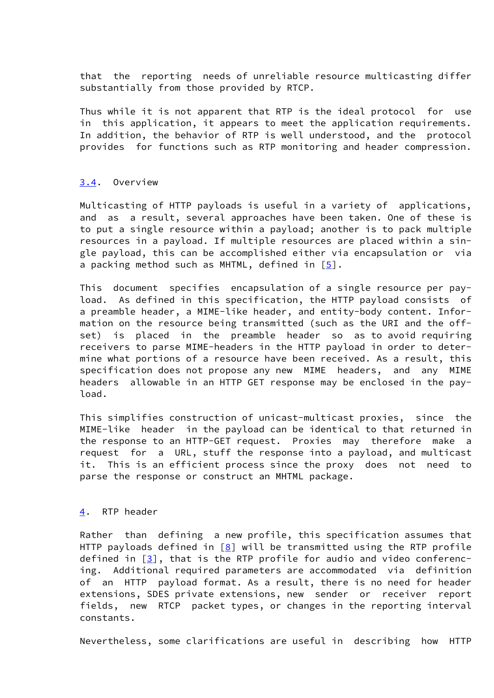that the reporting needs of unreliable resource multicasting differ substantially from those provided by RTCP.

 Thus while it is not apparent that RTP is the ideal protocol for use in this application, it appears to meet the application requirements. In addition, the behavior of RTP is well understood, and the protocol provides for functions such as RTP monitoring and header compression.

#### <span id="page-5-0"></span>[3.4](#page-5-0). Overview

 Multicasting of HTTP payloads is useful in a variety of applications, and as a result, several approaches have been taken. One of these is to put a single resource within a payload; another is to pack multiple resources in a payload. If multiple resources are placed within a sin gle payload, this can be accomplished either via encapsulation or via a packing method such as MHTML, defined in  $[5]$ .

 This document specifies encapsulation of a single resource per pay load. As defined in this specification, the HTTP payload consists of a preamble header, a MIME-like header, and entity-body content. Infor mation on the resource being transmitted (such as the URI and the off set) is placed in the preamble header so as to avoid requiring receivers to parse MIME-headers in the HTTP payload in order to deter mine what portions of a resource have been received. As a result, this specification does not propose any new MIME headers, and any MIME headers allowable in an HTTP GET response may be enclosed in the pay load.

 This simplifies construction of unicast-multicast proxies, since the MIME-like header in the payload can be identical to that returned in the response to an HTTP-GET request. Proxies may therefore make a request for a URL, stuff the response into a payload, and multicast it. This is an efficient process since the proxy does not need to parse the response or construct an MHTML package.

#### <span id="page-5-1"></span>[4.](#page-5-1) RTP header

 Rather than defining a new profile, this specification assumes that HTTP payloads defined in  $[8]$  $[8]$  will be transmitted using the RTP profile defined in  $[3]$ , that is the RTP profile for audio and video conferenc ing. Additional required parameters are accommodated via definition of an HTTP payload format. As a result, there is no need for header extensions, SDES private extensions, new sender or receiver report fields, new RTCP packet types, or changes in the reporting interval constants.

Nevertheless, some clarifications are useful in describing how HTTP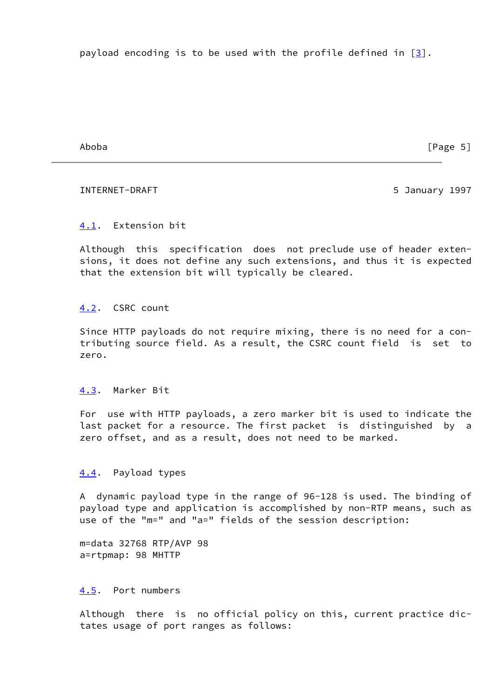payload encoding is to be used with the profile defined in  $\lceil 3 \rceil$ .

Aboba [Page 5]

#### INTERNET-DRAFT 5 January 1997

## <span id="page-6-0"></span>[4.1](#page-6-0). Extension bit

 Although this specification does not preclude use of header exten sions, it does not define any such extensions, and thus it is expected that the extension bit will typically be cleared.

## <span id="page-6-1"></span>[4.2](#page-6-1). CSRC count

 Since HTTP payloads do not require mixing, there is no need for a con tributing source field. As a result, the CSRC count field is set to zero.

## <span id="page-6-2"></span>[4.3](#page-6-2). Marker Bit

 For use with HTTP payloads, a zero marker bit is used to indicate the last packet for a resource. The first packet is distinguished by a zero offset, and as a result, does not need to be marked.

## <span id="page-6-3"></span>[4.4](#page-6-3). Payload types

 A dynamic payload type in the range of 96-128 is used. The binding of payload type and application is accomplished by non-RTP means, such as use of the "m=" and "a=" fields of the session description:

 m=data 32768 RTP/AVP 98 a=rtpmap: 98 MHTTP

## <span id="page-6-4"></span>[4.5](#page-6-4). Port numbers

 Although there is no official policy on this, current practice dic tates usage of port ranges as follows: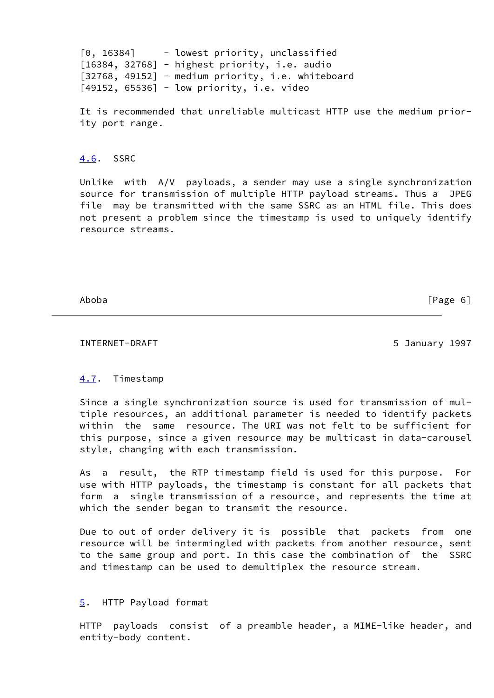[0, 16384] - lowest priority, unclassified [16384, 32768] - highest priority, i.e. audio [32768, 49152] - medium priority, i.e. whiteboard [49152, 65536] - low priority, i.e. video

 It is recommended that unreliable multicast HTTP use the medium prior ity port range.

## <span id="page-7-0"></span>[4.6](#page-7-0). SSRC

 Unlike with A/V payloads, a sender may use a single synchronization source for transmission of multiple HTTP payload streams. Thus a JPEG file may be transmitted with the same SSRC as an HTML file. This does not present a problem since the timestamp is used to uniquely identify resource streams.

Aboba [Page 6]

INTERNET-DRAFT 5 January 1997

# <span id="page-7-1"></span>[4.7](#page-7-1). Timestamp

 Since a single synchronization source is used for transmission of mul tiple resources, an additional parameter is needed to identify packets within the same resource. The URI was not felt to be sufficient for this purpose, since a given resource may be multicast in data-carousel style, changing with each transmission.

 As a result, the RTP timestamp field is used for this purpose. For use with HTTP payloads, the timestamp is constant for all packets that form a single transmission of a resource, and represents the time at which the sender began to transmit the resource.

 Due to out of order delivery it is possible that packets from one resource will be intermingled with packets from another resource, sent to the same group and port. In this case the combination of the SSRC and timestamp can be used to demultiplex the resource stream.

#### <span id="page-7-2"></span>[5.](#page-7-2) HTTP Payload format

 HTTP payloads consist of a preamble header, a MIME-like header, and entity-body content.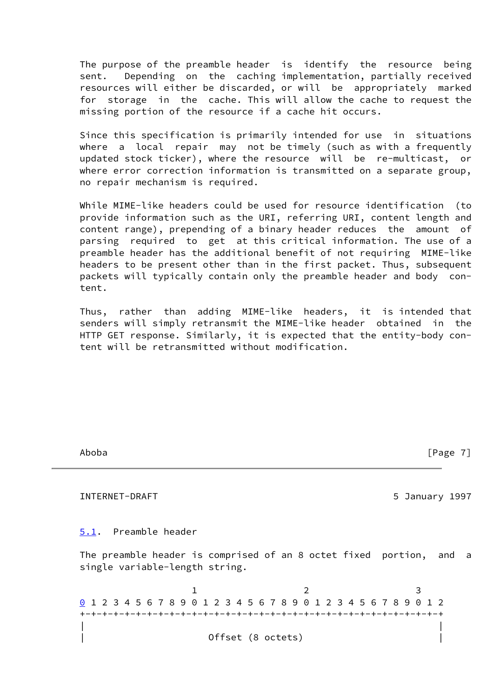The purpose of the preamble header is identify the resource being sent. Depending on the caching implementation, partially received resources will either be discarded, or will be appropriately marked for storage in the cache. This will allow the cache to request the missing portion of the resource if a cache hit occurs.

 Since this specification is primarily intended for use in situations where a local repair may not be timely (such as with a frequently updated stock ticker), where the resource will be re-multicast, or where error correction information is transmitted on a separate group, no repair mechanism is required.

 While MIME-like headers could be used for resource identification (to provide information such as the URI, referring URI, content length and content range), prepending of a binary header reduces the amount of parsing required to get at this critical information. The use of a preamble header has the additional benefit of not requiring MIME-like headers to be present other than in the first packet. Thus, subsequent packets will typically contain only the preamble header and body con tent.

 Thus, rather than adding MIME-like headers, it is intended that senders will simply retransmit the MIME-like header obtained in the HTTP GET response. Similarly, it is expected that the entity-body con tent will be retransmitted without modification.

<span id="page-8-1"></span><span id="page-8-0"></span> Aboba [Page 7] INTERNET-DRAFT 5 3 January 1997 [5.1](#page-8-0). Preamble header The preamble header is comprised of an 8 octet fixed portion, and a single variable-length string. 1 2 3 [0](#page-8-1) 1 2 3 4 5 6 7 8 9 0 1 2 3 4 5 6 7 8 9 0 1 2 3 4 5 6 7 8 9 0 1 2 +-+-+-+-+-+-+-+-+-+-+-+-+-+-+-+-+-+-+-+-+-+-+-+-+-+-+-+-+-+-+-+-+ | | | Offset (8 octets) |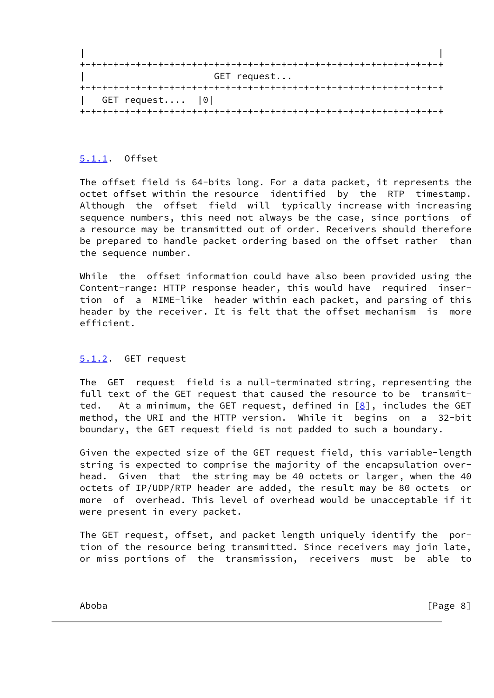|                   | GET request |  |
|-------------------|-------------|--|
|                   |             |  |
| GET request $ 0 $ |             |  |
|                   |             |  |

# <span id="page-9-0"></span>[5.1.1.](#page-9-0) Offset

 The offset field is 64-bits long. For a data packet, it represents the octet offset within the resource identified by the RTP timestamp. Although the offset field will typically increase with increasing sequence numbers, this need not always be the case, since portions of a resource may be transmitted out of order. Receivers should therefore be prepared to handle packet ordering based on the offset rather than the sequence number.

 While the offset information could have also been provided using the Content-range: HTTP response header, this would have required inser tion of a MIME-like header within each packet, and parsing of this header by the receiver. It is felt that the offset mechanism is more efficient.

## <span id="page-9-1"></span>[5.1.2.](#page-9-1) GET request

 The GET request field is a null-terminated string, representing the full text of the GET request that caused the resource to be transmit ted. At a minimum, the GET request, defined in  $[8]$  $[8]$ , includes the GET method, the URI and the HTTP version. While it begins on a 32-bit boundary, the GET request field is not padded to such a boundary.

 Given the expected size of the GET request field, this variable-length string is expected to comprise the majority of the encapsulation over head. Given that the string may be 40 octets or larger, when the 40 octets of IP/UDP/RTP header are added, the result may be 80 octets or more of overhead. This level of overhead would be unacceptable if it were present in every packet.

 The GET request, offset, and packet length uniquely identify the por tion of the resource being transmitted. Since receivers may join late, or miss portions of the transmission, receivers must be able to

Aboba [Page 8]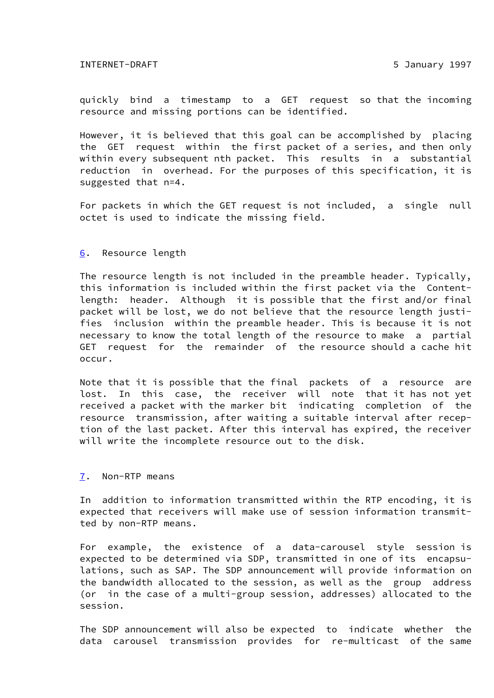INTERNET-DRAFT 5 January 1997

 quickly bind a timestamp to a GET request so that the incoming resource and missing portions can be identified.

 However, it is believed that this goal can be accomplished by placing the GET request within the first packet of a series, and then only within every subsequent nth packet. This results in a substantial reduction in overhead. For the purposes of this specification, it is suggested that n=4.

 For packets in which the GET request is not included, a single null octet is used to indicate the missing field.

#### <span id="page-10-0"></span>[6.](#page-10-0) Resource length

 The resource length is not included in the preamble header. Typically, this information is included within the first packet via the Content length: header. Although it is possible that the first and/or final packet will be lost, we do not believe that the resource length justi fies inclusion within the preamble header. This is because it is not necessary to know the total length of the resource to make a partial GET request for the remainder of the resource should a cache hit occur.

 Note that it is possible that the final packets of a resource are lost. In this case, the receiver will note that it has not yet received a packet with the marker bit indicating completion of the resource transmission, after waiting a suitable interval after recep tion of the last packet. After this interval has expired, the receiver will write the incomplete resource out to the disk.

#### <span id="page-10-1"></span>[7.](#page-10-1) Non-RTP means

 In addition to information transmitted within the RTP encoding, it is expected that receivers will make use of session information transmit ted by non-RTP means.

 For example, the existence of a data-carousel style session is expected to be determined via SDP, transmitted in one of its encapsu lations, such as SAP. The SDP announcement will provide information on the bandwidth allocated to the session, as well as the group address (or in the case of a multi-group session, addresses) allocated to the session.

 The SDP announcement will also be expected to indicate whether the data carousel transmission provides for re-multicast of the same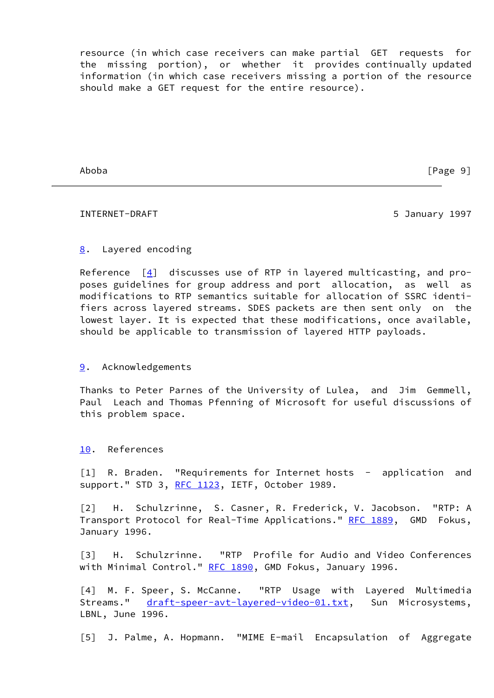resource (in which case receivers can make partial GET requests for the missing portion), or whether it provides continually updated information (in which case receivers missing a portion of the resource should make a GET request for the entire resource).

Aboba [Page 9]

#### INTERNET-DRAFT 6 1997 1997

# <span id="page-11-2"></span>[8.](#page-11-2) Layered encoding

Reference  $[4]$  discusses use of RTP in layered multicasting, and pro poses guidelines for group address and port allocation, as well as modifications to RTP semantics suitable for allocation of SSRC identi fiers across layered streams. SDES packets are then sent only on the lowest layer. It is expected that these modifications, once available, should be applicable to transmission of layered HTTP payloads.

#### <span id="page-11-4"></span>[9.](#page-11-4) Acknowledgements

 Thanks to Peter Parnes of the University of Lulea, and Jim Gemmell, Paul Leach and Thomas Pfenning of Microsoft for useful discussions of this problem space.

<span id="page-11-5"></span>[10.](#page-11-5) References

[1] R. Braden. "Requirements for Internet hosts - application and support." STD 3, [RFC 1123,](https://datatracker.ietf.org/doc/pdf/rfc1123) IETF, October 1989.

 [2] H. Schulzrinne, S. Casner, R. Frederick, V. Jacobson. "RTP: A Transport Protocol for Real-Time Applications." [RFC 1889](https://datatracker.ietf.org/doc/pdf/rfc1889), GMD Fokus, January 1996.

<span id="page-11-1"></span> [3] H. Schulzrinne. "RTP Profile for Audio and Video Conferences with Minimal Control." [RFC 1890](https://datatracker.ietf.org/doc/pdf/rfc1890), GMD Fokus, January 1996.

<span id="page-11-3"></span> [4] M. F. Speer, S. McCanne. "RTP Usage with Layered Multimedia Streams." [draft-speer-avt-layered-video-01.txt](https://datatracker.ietf.org/doc/pdf/draft-speer-avt-layered-video-01.txt), Sun Microsystems, LBNL, June 1996.

<span id="page-11-0"></span>[5] J. Palme, A. Hopmann. "MIME E-mail Encapsulation of Aggregate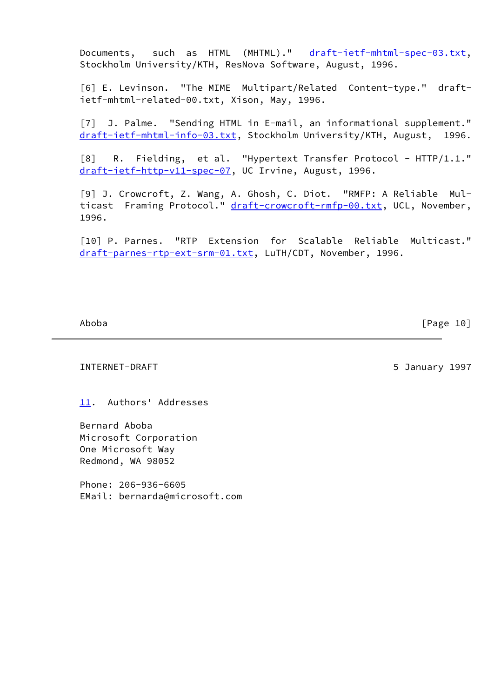Documents, such as HTML (MHTML)." [draft-ietf-mhtml-spec-03.txt,](https://datatracker.ietf.org/doc/pdf/draft-ietf-mhtml-spec-03.txt) Stockholm University/KTH, ResNova Software, August, 1996.

 [6] E. Levinson. "The MIME Multipart/Related Content-type." draft ietf-mhtml-related-00.txt, Xison, May, 1996.

[7] J. Palme. "Sending HTML in E-mail, an informational supplement." [draft-ietf-mhtml-info-03.txt](https://datatracker.ietf.org/doc/pdf/draft-ietf-mhtml-info-03.txt), Stockholm University/KTH, August, 1996.

<span id="page-12-1"></span>[8] R. Fielding, et al. "Hypertext Transfer Protocol - HTTP/1.1." [draft-ietf-http-v11-spec-07](https://datatracker.ietf.org/doc/pdf/draft-ietf-http-v11-spec-07), UC Irvine, August, 1996.

<span id="page-12-0"></span> [9] J. Crowcroft, Z. Wang, A. Ghosh, C. Diot. "RMFP: A Reliable Mul ticast Framing Protocol." [draft-crowcroft-rmfp-00.txt](https://datatracker.ietf.org/doc/pdf/draft-crowcroft-rmfp-00.txt), UCL, November, 1996.

 [10] P. Parnes. "RTP Extension for Scalable Reliable Multicast." [draft-parnes-rtp-ext-srm-01.txt](https://datatracker.ietf.org/doc/pdf/draft-parnes-rtp-ext-srm-01.txt), LuTH/CDT, November, 1996.

Aboba [Page 10]

INTERNET-DRAFT 5 January 1997

<span id="page-12-2"></span>[11.](#page-12-2) Authors' Addresses

 Bernard Aboba Microsoft Corporation One Microsoft Way Redmond, WA 98052

 Phone: 206-936-6605 EMail: bernarda@microsoft.com